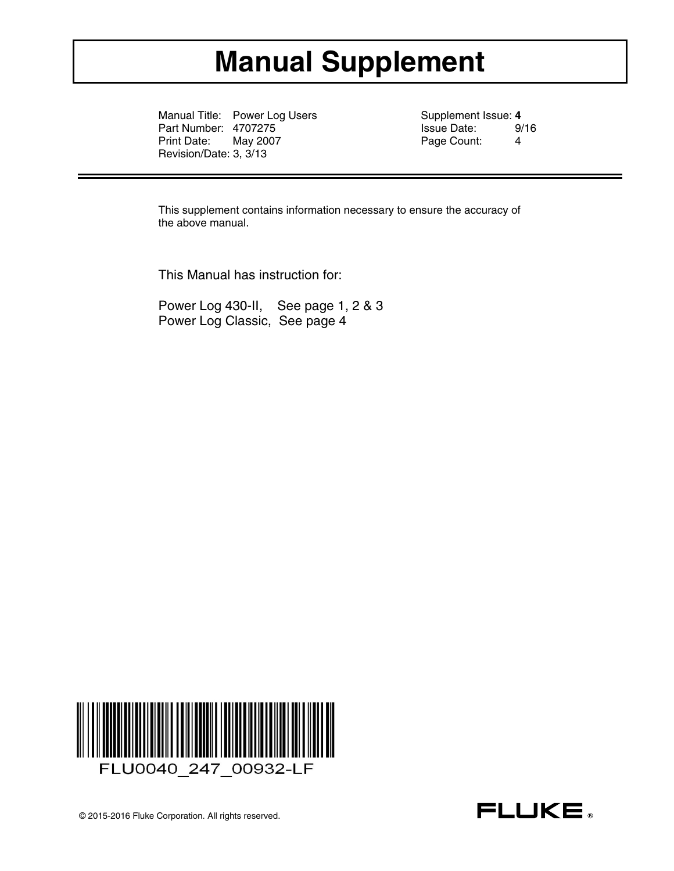# **Manual Supplement**

Manual Title: Power Log Users Supplement Issue: 4<br>
Part Number: 4707275<br>
Supplement Issue Date: 9/16 Part Number: 4707275 Issue Date: 9/<br>Print Date: May 2007 Print Date: 4 May 2007 **Page Count:** 4 Revision/Date: 3, 3/13

This supplement contains information necessary to ensure the accuracy of the above manual.

This Manual has instruction for:

Power Log 430-II, See page 1, 2 & 3 Power Log Classic, See page 4

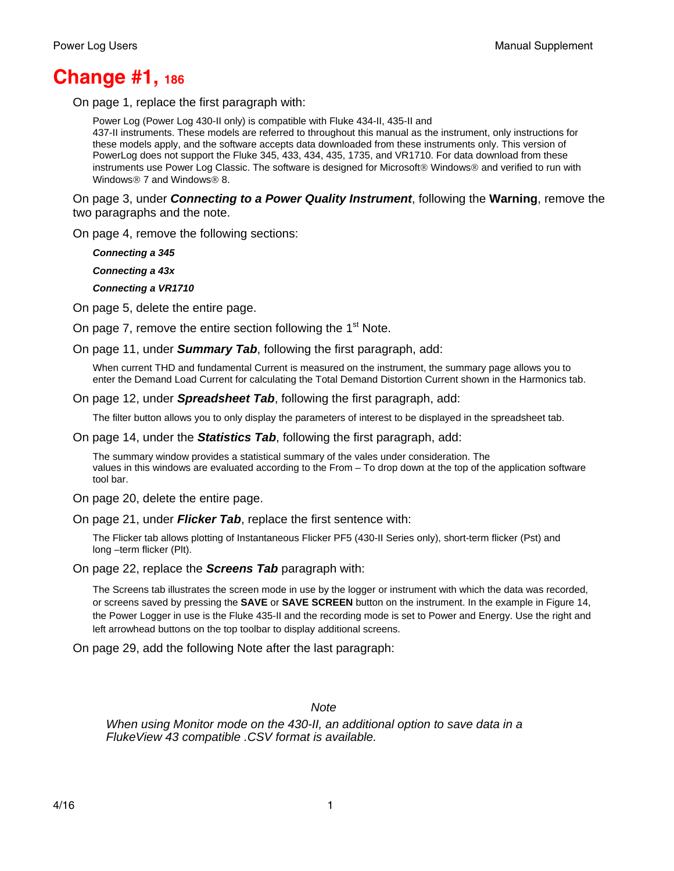# **Change #1, 186**

On page 1, replace the first paragraph with:

Power Log (Power Log 430-II only) is compatible with Fluke 434-II, 435-II and 437-II instruments. These models are referred to throughout this manual as the instrument, only instructions for these models apply, and the software accepts data downloaded from these instruments only. This version of PowerLog does not support the Fluke 345, 433, 434, 435, 1735, and VR1710. For data download from these instruments use Power Log Classic. The software is designed for Microsoft® Windows® and verified to run with Windows<sup>®</sup> 7 and Windows<sup>®</sup> 8.

On page 3, under *Connecting to a Power Quality Instrument*, following the **Warning**, remove the two paragraphs and the note.

On page 4, remove the following sections:

*Connecting a 345* 

 *Connecting a 43x* 

 *Connecting a VR1710* 

On page 5, delete the entire page.

On page 7, remove the entire section following the 1<sup>st</sup> Note.

On page 11, under *Summary Tab*, following the first paragraph, add:

When current THD and fundamental Current is measured on the instrument, the summary page allows you to enter the Demand Load Current for calculating the Total Demand Distortion Current shown in the Harmonics tab.

On page 12, under *Spreadsheet Tab*, following the first paragraph, add:

The filter button allows you to only display the parameters of interest to be displayed in the spreadsheet tab.

On page 14, under the *Statistics Tab*, following the first paragraph, add:

The summary window provides a statistical summary of the vales under consideration. The values in this windows are evaluated according to the From – To drop down at the top of the application software tool bar.

On page 20, delete the entire page.

On page 21, under *Flicker Tab*, replace the first sentence with:

The Flicker tab allows plotting of Instantaneous Flicker PF5 (430-II Series only), short-term flicker (Pst) and long –term flicker (Plt).

On page 22, replace the *Screens Tab* paragraph with:

The Screens tab illustrates the screen mode in use by the logger or instrument with which the data was recorded, or screens saved by pressing the **SAVE** or **SAVE SCREEN** button on the instrument. In the example in Figure 14, the Power Logger in use is the Fluke 435-II and the recording mode is set to Power and Energy. Use the right and left arrowhead buttons on the top toolbar to display additional screens.

On page 29, add the following Note after the last paragraph:

*Note* 

*When using Monitor mode on the 430-II, an additional option to save data in a FlukeView 43 compatible .CSV format is available.*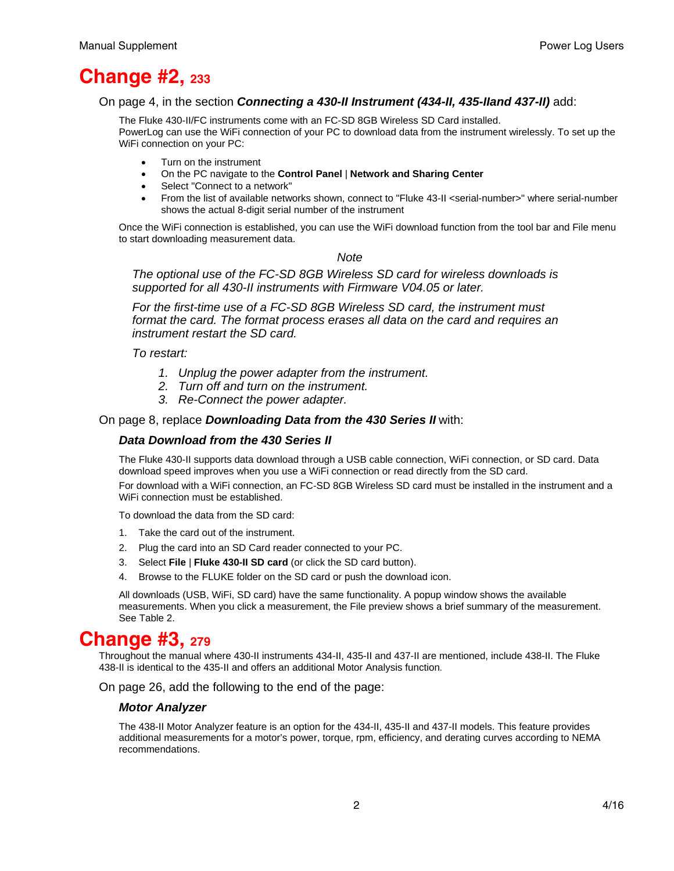# **Change #2, 233**

#### On page 4, in the section *Connecting a 430-II Instrument (434-II, 435-IIand 437-II)* add:

The Fluke 430-II/FC instruments come with an FC-SD 8GB Wireless SD Card installed. PowerLog can use the WiFi connection of your PC to download data from the instrument wirelessly. To set up the WiFi connection on your PC:

- Turn on the instrument
- On the PC navigate to the **Control Panel** | **Network and Sharing Center**
- Select "Connect to a network"
- From the list of available networks shown, connect to "Fluke 43-II <serial-number>" where serial-number shows the actual 8-digit serial number of the instrument

Once the WiFi connection is established, you can use the WiFi download function from the tool bar and File menu to start downloading measurement data.

### *Note*

*The optional use of the FC-SD 8GB Wireless SD card for wireless downloads is supported for all 430-II instruments with Firmware V04.05 or later.* 

*For the first-time use of a FC-SD 8GB Wireless SD card, the instrument must format the card. The format process erases all data on the card and requires an instrument restart the SD card.* 

*To restart:* 

- *1. Unplug the power adapter from the instrument.*
- *2. Turn off and turn on the instrument.*
- *3. Re-Connect the power adapter.*

### On page 8, replace *Downloading Data from the 430 Series II* with:

#### *Data Download from the 430 Series II*

The Fluke 430-II supports data download through a USB cable connection, WiFi connection, or SD card. Data download speed improves when you use a WiFi connection or read directly from the SD card.

For download with a WiFi connection, an FC-SD 8GB Wireless SD card must be installed in the instrument and a WiFi connection must be established.

To download the data from the SD card:

- 1. Take the card out of the instrument.
- 2. Plug the card into an SD Card reader connected to your PC.
- 3. Select **File** | **Fluke 430-II SD card** (or click the SD card button).
- 4. Browse to the FLUKE folder on the SD card or push the download icon.

All downloads (USB, WiFi, SD card) have the same functionality. A popup window shows the available measurements. When you click a measurement, the File preview shows a brief summary of the measurement. See Table 2.

# **Change #3, 279**

Throughout the manual where 430-II instruments 434-II, 435-II and 437-II are mentioned, include 438-II. The Fluke 438-II is identical to the 435-II and offers an additional Motor Analysis function.

On page 26, add the following to the end of the page:

#### *Motor Analyzer*

The 438-II Motor Analyzer feature is an option for the 434-II, 435-II and 437-II models. This feature provides additional measurements for a motor's power, torque, rpm, efficiency, and derating curves according to NEMA recommendations.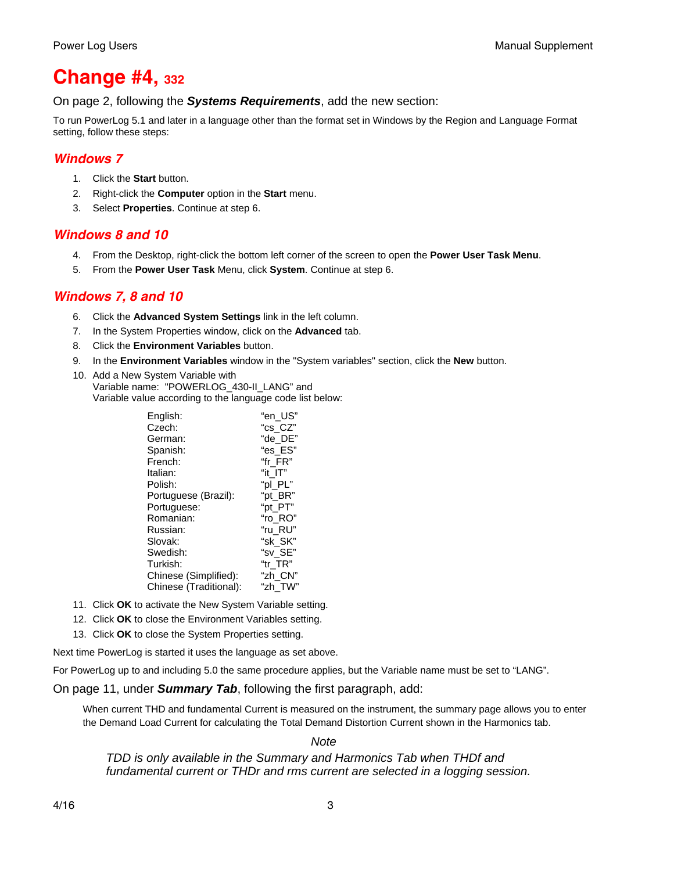# **Change #4, 332**

On page 2, following the *Systems Requirements*, add the new section:

To run PowerLog 5.1 and later in a language other than the format set in Windows by the Region and Language Format setting, follow these steps:

# *Windows 7*

- 1. Click the **Start** button.
- 2. Right-click the **Computer** option in the **Start** menu.
- 3. Select **Properties**. Continue at step 6.

# *Windows 8 and 10*

- 4. From the Desktop, right-click the bottom left corner of the screen to open the **Power User Task Menu**.
- 5. From the **Power User Task** Menu, click **System**. Continue at step 6.

# *Windows 7, 8 and 10*

- 6. Click the **Advanced System Settings** link in the left column.
- 7. In the System Properties window, click on the **Advanced** tab.
- 8. Click the **Environment Variables** button.
- 9. In the **Environment Variables** window in the "System variables" section, click the **New** button.
- 10. Add a New System Variable with Variable name: "POWERLOG\_430-II\_LANG" and Variable value according to the language code list below:

| English:<br>Czech:     | "en US"<br>"cs CZ" |
|------------------------|--------------------|
| German:                | "de DE"            |
| Spanish:               | "es ES"            |
| French:                | "fr FR"            |
| Italian:               | "it IT"            |
| Polish:                | "pl PL"            |
| Portuguese (Brazil):   | "pt BR"            |
| Portuguese:            | "pt PT"            |
| Romanian:              | "ro RO"            |
| Russian:               | "ru RU"            |
| Slovak:                | "sk SK"            |
| Swedish:               | "sv SE"            |
| Turkish:               | "tr TR"            |
| Chinese (Simplified):  | "zh CN"            |
| Chinese (Traditional): | "zh TW"            |

- 11. Click **OK** to activate the New System Variable setting.
- 12. Click **OK** to close the Environment Variables setting.
- 13. Click **OK** to close the System Properties setting.

Next time PowerLog is started it uses the language as set above.

For PowerLog up to and including 5.0 the same procedure applies, but the Variable name must be set to "LANG".

### On page 11, under *Summary Tab*, following the first paragraph, add:

When current THD and fundamental Current is measured on the instrument, the summary page allows you to enter the Demand Load Current for calculating the Total Demand Distortion Current shown in the Harmonics tab.

*Note* 

*TDD is only available in the Summary and Harmonics Tab when THDf and fundamental current or THDr and rms current are selected in a logging session.*